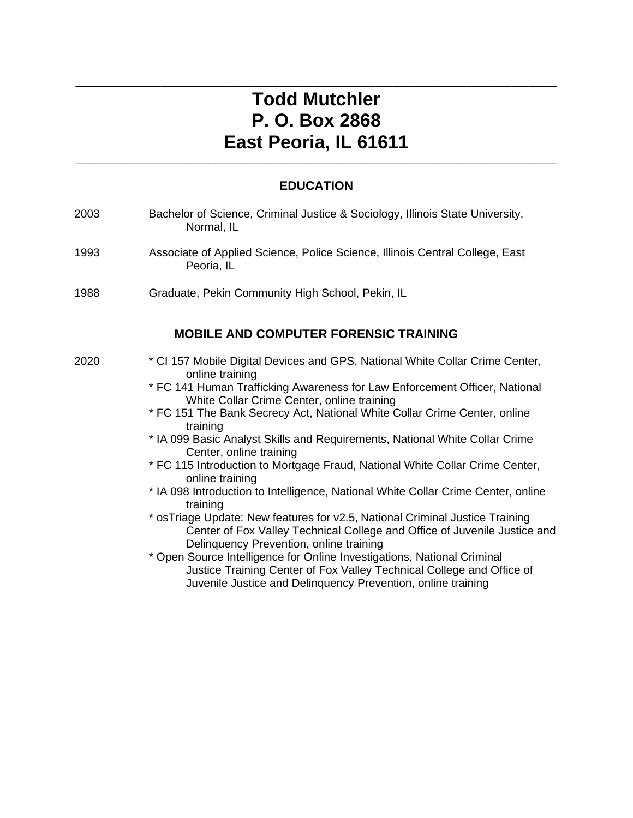# **Todd Mutchler P. O. Box 2868 East Peoria, IL 61611**

**\_\_\_\_\_\_\_\_\_\_\_\_\_\_\_\_\_\_\_\_\_\_\_\_\_\_\_\_\_\_\_\_\_\_\_\_\_\_\_\_\_\_\_\_\_\_\_\_\_\_\_\_\_\_\_\_\_\_\_\_\_\_\_\_\_\_\_\_\_\_\_\_\_\_\_\_\_\_\_\_\_\_\_\_\_**

### **EDUCATION**

**\_\_\_\_\_\_\_\_\_\_\_\_\_\_\_\_\_\_\_\_\_\_\_\_\_\_\_\_\_\_\_\_\_\_\_\_\_\_\_\_\_\_\_\_\_\_\_\_\_\_\_\_\_\_\_\_\_\_\_\_\_\_\_\_\_\_\_\_\_\_\_\_\_\_\_\_**

| 2003 | Bachelor of Science, Criminal Justice & Sociology, Illinois State University,<br>Normal, IL                                                                                                                                                                                                                                                                                                                                                                                                                                                                                                                                                                                                                                                                                                                                                                                                                                                                                                                                                                    |
|------|----------------------------------------------------------------------------------------------------------------------------------------------------------------------------------------------------------------------------------------------------------------------------------------------------------------------------------------------------------------------------------------------------------------------------------------------------------------------------------------------------------------------------------------------------------------------------------------------------------------------------------------------------------------------------------------------------------------------------------------------------------------------------------------------------------------------------------------------------------------------------------------------------------------------------------------------------------------------------------------------------------------------------------------------------------------|
| 1993 | Associate of Applied Science, Police Science, Illinois Central College, East<br>Peoria, IL                                                                                                                                                                                                                                                                                                                                                                                                                                                                                                                                                                                                                                                                                                                                                                                                                                                                                                                                                                     |
| 1988 | Graduate, Pekin Community High School, Pekin, IL                                                                                                                                                                                                                                                                                                                                                                                                                                                                                                                                                                                                                                                                                                                                                                                                                                                                                                                                                                                                               |
|      | <b>MOBILE AND COMPUTER FORENSIC TRAINING</b>                                                                                                                                                                                                                                                                                                                                                                                                                                                                                                                                                                                                                                                                                                                                                                                                                                                                                                                                                                                                                   |
| 2020 | * CI 157 Mobile Digital Devices and GPS, National White Collar Crime Center,<br>online training<br>* FC 141 Human Trafficking Awareness for Law Enforcement Officer, National<br>White Collar Crime Center, online training<br>* FC 151 The Bank Secrecy Act, National White Collar Crime Center, online<br>training<br>* IA 099 Basic Analyst Skills and Requirements, National White Collar Crime<br>Center, online training<br>* FC 115 Introduction to Mortgage Fraud, National White Collar Crime Center,<br>online training<br>* IA 098 Introduction to Intelligence, National White Collar Crime Center, online<br>training<br>* osTriage Update: New features for v2.5, National Criminal Justice Training<br>Center of Fox Valley Technical College and Office of Juvenile Justice and<br>Delinquency Prevention, online training<br>* Open Source Intelligence for Online Investigations, National Criminal<br>Justice Training Center of Fox Valley Technical College and Office of<br>Juvenile Justice and Delinquency Prevention, online training |
|      |                                                                                                                                                                                                                                                                                                                                                                                                                                                                                                                                                                                                                                                                                                                                                                                                                                                                                                                                                                                                                                                                |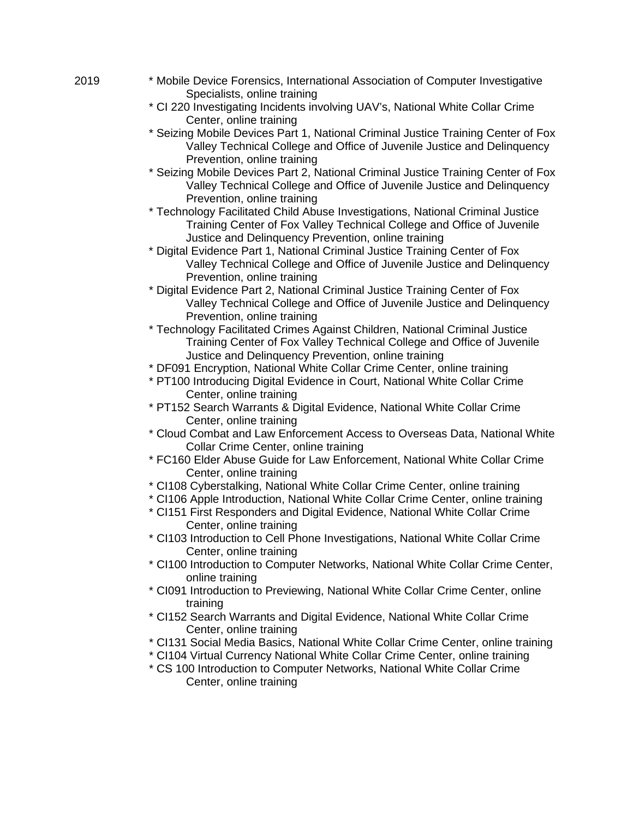- 2019 \* Mobile Device Forensics, International Association of Computer Investigative Specialists, online training
	- \* CI 220 Investigating Incidents involving UAV's, National White Collar Crime Center, online training
	- \* Seizing Mobile Devices Part 1, National Criminal Justice Training Center of Fox Valley Technical College and Office of Juvenile Justice and Delinquency Prevention, online training
	- \* Seizing Mobile Devices Part 2, National Criminal Justice Training Center of Fox Valley Technical College and Office of Juvenile Justice and Delinquency Prevention, online training
	- \* Technology Facilitated Child Abuse Investigations, National Criminal Justice Training Center of Fox Valley Technical College and Office of Juvenile Justice and Delinquency Prevention, online training
	- \* Digital Evidence Part 1, National Criminal Justice Training Center of Fox Valley Technical College and Office of Juvenile Justice and Delinquency Prevention, online training
	- \* Digital Evidence Part 2, National Criminal Justice Training Center of Fox Valley Technical College and Office of Juvenile Justice and Delinquency Prevention, online training
	- \* Technology Facilitated Crimes Against Children, National Criminal Justice Training Center of Fox Valley Technical College and Office of Juvenile Justice and Delinquency Prevention, online training
	- \* DF091 Encryption, National White Collar Crime Center, online training
	- \* PT100 Introducing Digital Evidence in Court, National White Collar Crime Center, online training
	- \* PT152 Search Warrants & Digital Evidence, National White Collar Crime Center, online training
	- \* Cloud Combat and Law Enforcement Access to Overseas Data, National White Collar Crime Center, online training
	- \* FC160 Elder Abuse Guide for Law Enforcement, National White Collar Crime Center, online training
	- \* CI108 Cyberstalking, National White Collar Crime Center, online training
	- \* CI106 Apple Introduction, National White Collar Crime Center, online training
	- \* CI151 First Responders and Digital Evidence, National White Collar Crime Center, online training
	- \* CI103 Introduction to Cell Phone Investigations, National White Collar Crime Center, online training
	- \* CI100 Introduction to Computer Networks, National White Collar Crime Center, online training
	- \* CI091 Introduction to Previewing, National White Collar Crime Center, online training
	- \* CI152 Search Warrants and Digital Evidence, National White Collar Crime Center, online training
	- \* CI131 Social Media Basics, National White Collar Crime Center, online training
	- \* CI104 Virtual Currency National White Collar Crime Center, online training
	- \* CS 100 Introduction to Computer Networks, National White Collar Crime Center, online training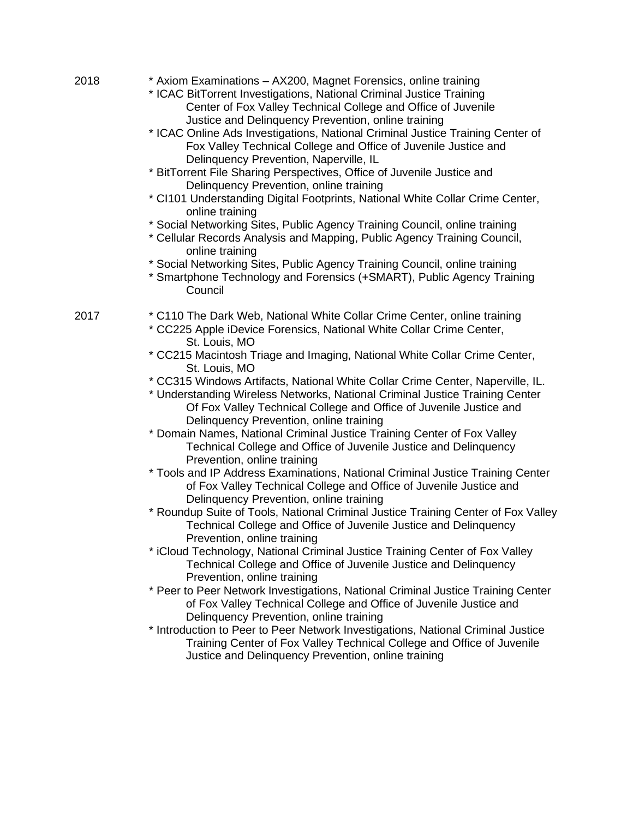| 2018 | * Axiom Examinations - AX200, Magnet Forensics, online training<br>* ICAC BitTorrent Investigations, National Criminal Justice Training<br>Center of Fox Valley Technical College and Office of Juvenile<br>Justice and Delinquency Prevention, online training<br>* ICAC Online Ads Investigations, National Criminal Justice Training Center of<br>Fox Valley Technical College and Office of Juvenile Justice and<br>Delinquency Prevention, Naperville, IL<br>* BitTorrent File Sharing Perspectives, Office of Juvenile Justice and<br>Delinquency Prevention, online training<br>* CI101 Understanding Digital Footprints, National White Collar Crime Center,<br>online training<br>* Social Networking Sites, Public Agency Training Council, online training<br>* Cellular Records Analysis and Mapping, Public Agency Training Council,<br>online training<br>* Social Networking Sites, Public Agency Training Council, online training<br>* Smartphone Technology and Forensics (+SMART), Public Agency Training<br>Council                                                                                                                                                                                                                                                                                                                                                                                                                                                                                                                                                                                                                                                                                                  |
|------|------------------------------------------------------------------------------------------------------------------------------------------------------------------------------------------------------------------------------------------------------------------------------------------------------------------------------------------------------------------------------------------------------------------------------------------------------------------------------------------------------------------------------------------------------------------------------------------------------------------------------------------------------------------------------------------------------------------------------------------------------------------------------------------------------------------------------------------------------------------------------------------------------------------------------------------------------------------------------------------------------------------------------------------------------------------------------------------------------------------------------------------------------------------------------------------------------------------------------------------------------------------------------------------------------------------------------------------------------------------------------------------------------------------------------------------------------------------------------------------------------------------------------------------------------------------------------------------------------------------------------------------------------------------------------------------------------------------------------------------|
| 2017 | * C110 The Dark Web, National White Collar Crime Center, online training<br>* CC225 Apple iDevice Forensics, National White Collar Crime Center,<br>St. Louis, MO<br>* CC215 Macintosh Triage and Imaging, National White Collar Crime Center,<br>St. Louis, MO<br>* CC315 Windows Artifacts, National White Collar Crime Center, Naperville, IL.<br>* Understanding Wireless Networks, National Criminal Justice Training Center<br>Of Fox Valley Technical College and Office of Juvenile Justice and<br>Delinquency Prevention, online training<br>* Domain Names, National Criminal Justice Training Center of Fox Valley<br>Technical College and Office of Juvenile Justice and Delinquency<br>Prevention, online training<br>* Tools and IP Address Examinations, National Criminal Justice Training Center<br>of Fox Valley Technical College and Office of Juvenile Justice and<br>Delinquency Prevention, online training<br>* Roundup Suite of Tools, National Criminal Justice Training Center of Fox Valley<br>Technical College and Office of Juvenile Justice and Delinquency<br>Prevention, online training<br>* iCloud Technology, National Criminal Justice Training Center of Fox Valley<br>Technical College and Office of Juvenile Justice and Delinquency<br>Prevention, online training<br>* Peer to Peer Network Investigations, National Criminal Justice Training Center<br>of Fox Valley Technical College and Office of Juvenile Justice and<br>Delinquency Prevention, online training<br>* Introduction to Peer to Peer Network Investigations, National Criminal Justice<br>Training Center of Fox Valley Technical College and Office of Juvenile<br>Justice and Delinquency Prevention, online training |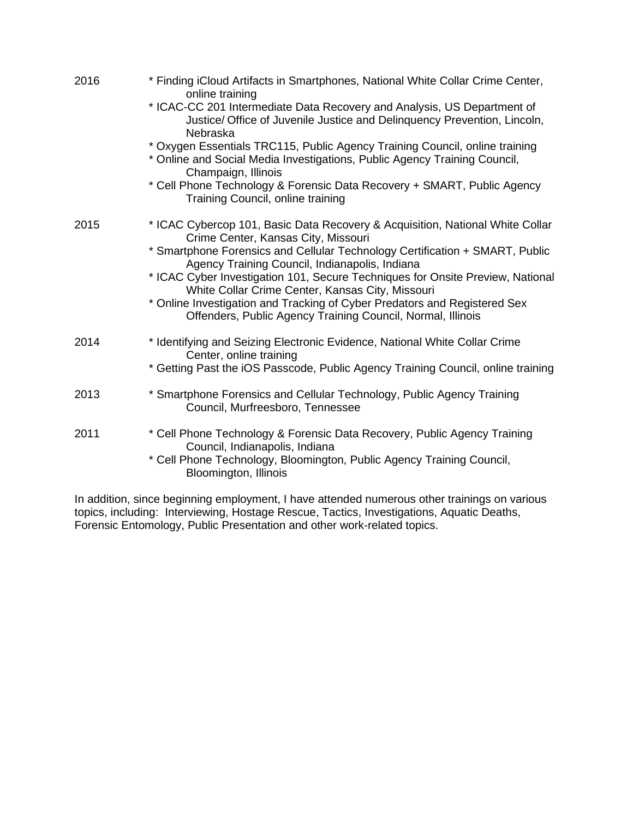| 2016 | * Finding iCloud Artifacts in Smartphones, National White Collar Crime Center,<br>online training                                                                               |
|------|---------------------------------------------------------------------------------------------------------------------------------------------------------------------------------|
|      | * ICAC-CC 201 Intermediate Data Recovery and Analysis, US Department of<br>Justice/ Office of Juvenile Justice and Delinguency Prevention, Lincoln,<br>Nebraska                 |
|      | * Oxygen Essentials TRC115, Public Agency Training Council, online training<br>* Online and Social Media Investigations, Public Agency Training Council,<br>Champaign, Illinois |
|      | * Cell Phone Technology & Forensic Data Recovery + SMART, Public Agency<br>Training Council, online training                                                                    |
| 2015 | * ICAC Cybercop 101, Basic Data Recovery & Acquisition, National White Collar<br>Crime Center, Kansas City, Missouri                                                            |
|      | * Smartphone Forensics and Cellular Technology Certification + SMART, Public<br>Agency Training Council, Indianapolis, Indiana                                                  |
|      | * ICAC Cyber Investigation 101, Secure Techniques for Onsite Preview, National<br>White Collar Crime Center, Kansas City, Missouri                                              |
|      | * Online Investigation and Tracking of Cyber Predators and Registered Sex<br>Offenders, Public Agency Training Council, Normal, Illinois                                        |
| 2014 | * Identifying and Seizing Electronic Evidence, National White Collar Crime<br>Center, online training                                                                           |
|      | * Getting Past the iOS Passcode, Public Agency Training Council, online training                                                                                                |
| 2013 | * Smartphone Forensics and Cellular Technology, Public Agency Training<br>Council, Murfreesboro, Tennessee                                                                      |
| 2011 | * Cell Phone Technology & Forensic Data Recovery, Public Agency Training<br>Council, Indianapolis, Indiana                                                                      |
|      | * Cell Phone Technology, Bloomington, Public Agency Training Council,<br>Bloomington, Illinois                                                                                  |

In addition, since beginning employment, I have attended numerous other trainings on various topics, including: Interviewing, Hostage Rescue, Tactics, Investigations, Aquatic Deaths, Forensic Entomology, Public Presentation and other work-related topics.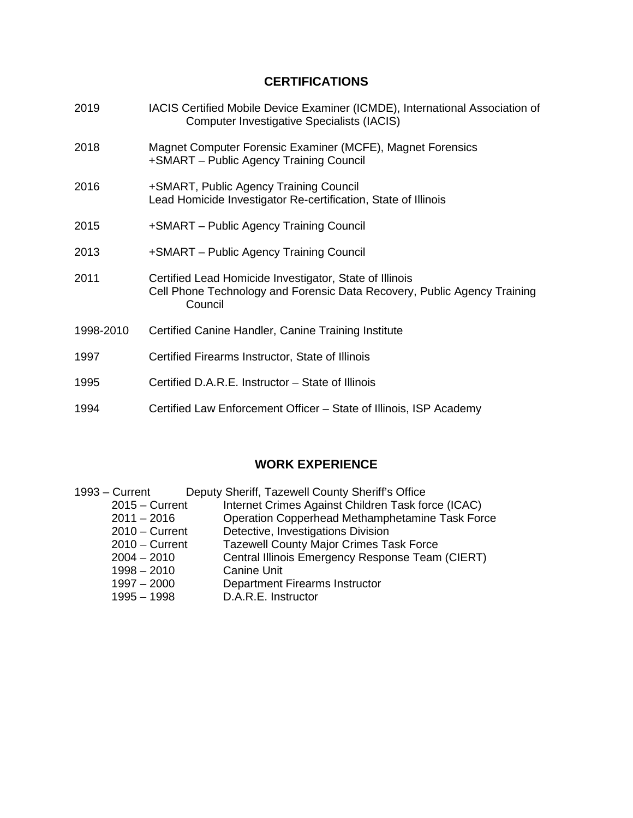## **CERTIFICATIONS**

| 2019      | IACIS Certified Mobile Device Examiner (ICMDE), International Association of<br><b>Computer Investigative Specialists (IACIS)</b>              |
|-----------|------------------------------------------------------------------------------------------------------------------------------------------------|
| 2018      | Magnet Computer Forensic Examiner (MCFE), Magnet Forensics<br>+SMART - Public Agency Training Council                                          |
| 2016      | +SMART, Public Agency Training Council<br>Lead Homicide Investigator Re-certification, State of Illinois                                       |
| 2015      | +SMART – Public Agency Training Council                                                                                                        |
| 2013      | +SMART – Public Agency Training Council                                                                                                        |
| 2011      | Certified Lead Homicide Investigator, State of Illinois<br>Cell Phone Technology and Forensic Data Recovery, Public Agency Training<br>Council |
| 1998-2010 | Certified Canine Handler, Canine Training Institute                                                                                            |
| 1997      | Certified Firearms Instructor, State of Illinois                                                                                               |
| 1995      | Certified D.A.R.E. Instructor - State of Illinois                                                                                              |
| 1994      | Certified Law Enforcement Officer – State of Illinois, ISP Academy                                                                             |

## **WORK EXPERIENCE**

| $1993 -$ Current | Deputy Sheriff, Tazewell County Sheriff's Office   |  |
|------------------|----------------------------------------------------|--|
| $2015 -$ Current | Internet Crimes Against Children Task force (ICAC) |  |
| $2011 - 2016$    | Operation Copperhead Methamphetamine Task Force    |  |
| $2010 -$ Current | Detective, Investigations Division                 |  |
| $2010 -$ Current | <b>Tazewell County Major Crimes Task Force</b>     |  |
| $2004 - 2010$    | Central Illinois Emergency Response Team (CIERT)   |  |
| $1998 - 2010$    | <b>Canine Unit</b>                                 |  |
| $1997 - 2000$    | <b>Department Firearms Instructor</b>              |  |
| $1995 - 1998$    | D.A.R.E. Instructor                                |  |